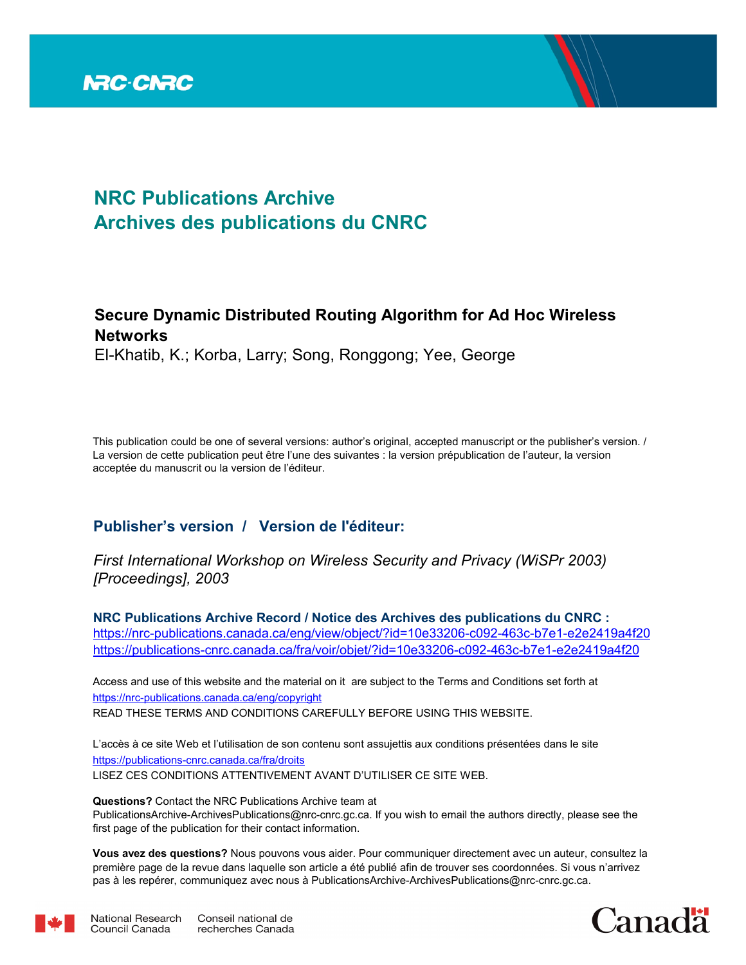

# **NRC Publications Archive Archives des publications du CNRC**

# **Secure Dynamic Distributed Routing Algorithm for Ad Hoc Wireless Networks**

El-Khatib, K.; Korba, Larry; Song, Ronggong; Yee, George

This publication could be one of several versions: author's original, accepted manuscript or the publisher's version. / La version de cette publication peut être l'une des suivantes : la version prépublication de l'auteur, la version acceptée du manuscrit ou la version de l'éditeur.

# **Publisher's version / Version de l'éditeur:**

*First International Workshop on Wireless Security and Privacy (WiSPr 2003) [Proceedings], 2003*

**NRC Publications Archive Record / Notice des Archives des publications du CNRC :** https://nrc-publications.canada.ca/eng/view/object/?id=10e33206-c092-463c-b7e1-e2e2419a4f20 https://publications-cnrc.canada.ca/fra/voir/objet/?id=10e33206-c092-463c-b7e1-e2e2419a4f20

READ THESE TERMS AND CONDITIONS CAREFULLY BEFORE USING THIS WEBSITE. https://nrc-publications.canada.ca/eng/copyright Access and use of this website and the material on it are subject to the Terms and Conditions set forth at

https://publications-cnrc.canada.ca/fra/droits L'accès à ce site Web et l'utilisation de son contenu sont assujettis aux conditions présentées dans le site LISEZ CES CONDITIONS ATTENTIVEMENT AVANT D'UTILISER CE SITE WEB.

**Questions?** Contact the NRC Publications Archive team at PublicationsArchive-ArchivesPublications@nrc-cnrc.gc.ca. If you wish to email the authors directly, please see the first page of the publication for their contact information.

**Vous avez des questions?** Nous pouvons vous aider. Pour communiquer directement avec un auteur, consultez la première page de la revue dans laquelle son article a été publié afin de trouver ses coordonnées. Si vous n'arrivez pas à les repérer, communiquez avec nous à PublicationsArchive-ArchivesPublications@nrc-cnrc.gc.ca.



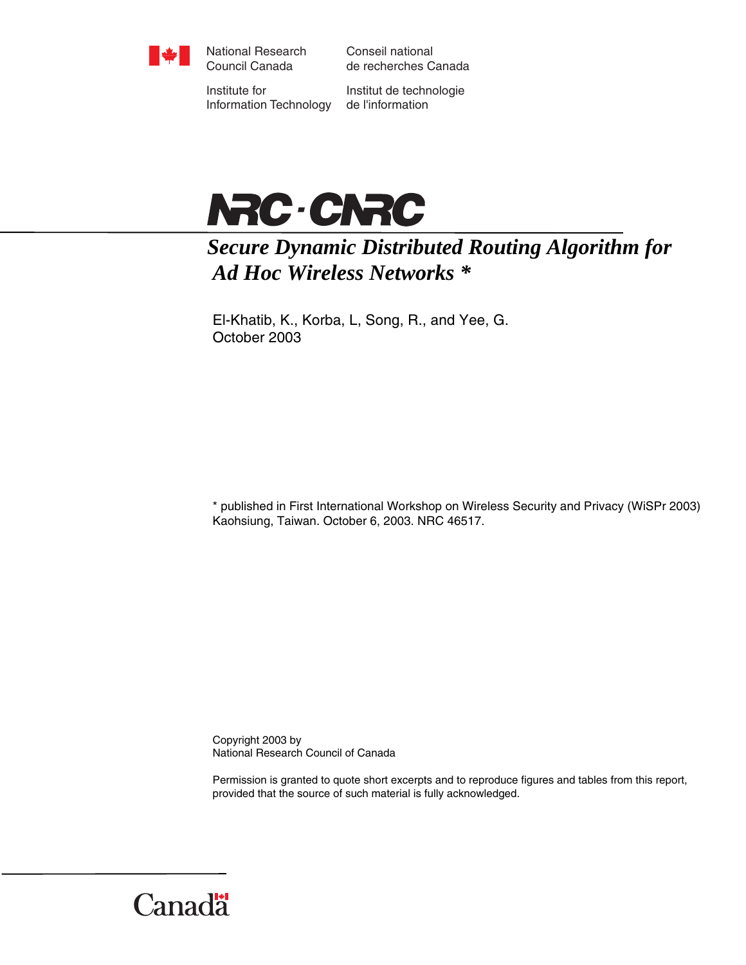

National Research Council Canada

Conseil national de recherches Canada

Institute for Information Technology

Institut de technologie de l'information



# *Secure Dynamic Distributed Routing Algorithm for Ad Hoc Wireless Networks \**

El-Khatib, K., Korba, L, Song, R., and Yee, G. October 2003

\* published in First International Workshop on Wireless Security and Privacy (WiSPr 2003) Kaohsiung, Taiwan. October 6, 2003. NRC 46517.

Copyright 2003 by National Research Council of Canada

Permission is granted to quote short excerpts and to reproduce figures and tables from this report, provided that the source of such material is fully acknowledged.

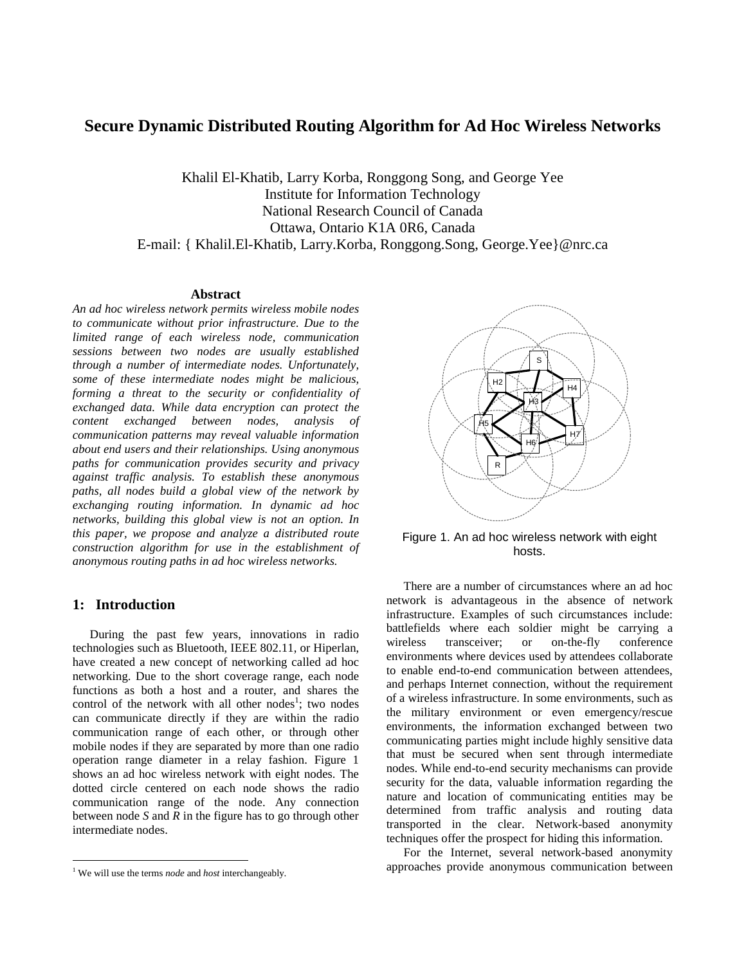# **Secure Dynamic Distributed Routing Algorithm for Ad Hoc Wireless Networks**

Khalil El-Khatib, Larry Korba, Ronggong Song, and George Yee Institute for Information Technology National Research Council of Canada Ottawa, Ontario K1A 0R6, Canada E-mail: { Khalil.El-Khatib, Larry.Korba, Ronggong.Song, George.Yee}@nrc.ca

# **Abstract**

*An ad hoc wireless network permits wireless mobile nodes to communicate without prior infrastructure. Due to the limited range of each wireless node, communication sessions between two nodes are usually established through a number of intermediate nodes. Unfortunately, some of these intermediate nodes might be malicious, forming a threat to the security or confidentiality of exchanged data. While data encryption can protect the content exchanged between nodes, analysis of communication patterns may reveal valuable information about end users and their relationships. Using anonymous paths for communication provides security and privacy against traffic analysis. To establish these anonymous paths, all nodes build a global view of the network by exchanging routing information. In dynamic ad hoc networks, building this global view is not an option. In this paper, we propose and analyze a distributed route construction algorithm for use in the establishment of anonymous routing paths in ad hoc wireless networks.* 

## **1: Introduction**

<u>.</u>

During the past few years, innovations in radio technologies such as Bluetooth, IEEE 802.11, or Hiperlan, have created a new concept of networking called ad hoc networking. Due to the short coverage range, each node functions as both a host and a router, and shares the control of the network with all other nodes<sup>1</sup>; two nodes can communicate directly if they are within the radio communication range of each other, or through other mobile nodes if they are separated by more than one radio operation range diameter in a relay fashion. Figure 1 shows an ad hoc wireless network with eight nodes. The dotted circle centered on each node shows the radio communication range of the node. Any connection between node *S* and *R* in the figure has to go through other intermediate nodes.



Figure 1. An ad hoc wireless network with eight hosts.

There are a number of circumstances where an ad hoc network is advantageous in the absence of network infrastructure. Examples of such circumstances include: battlefields where each soldier might be carrying a wireless transceiver; or on-the-fly conference environments where devices used by attendees collaborate to enable end-to-end communication between attendees, and perhaps Internet connection, without the requirement of a wireless infrastructure. In some environments, such as the military environment or even emergency/rescue environments, the information exchanged between two communicating parties might include highly sensitive data that must be secured when sent through intermediate nodes. While end-to-end security mechanisms can provide security for the data, valuable information regarding the nature and location of communicating entities may be determined from traffic analysis and routing data transported in the clear. Network-based anonymity techniques offer the prospect for hiding this information.

For the Internet, several network-based anonymity approaches provide anonymous communication between

<sup>1</sup> We will use the terms *node* and *host* interchangeably.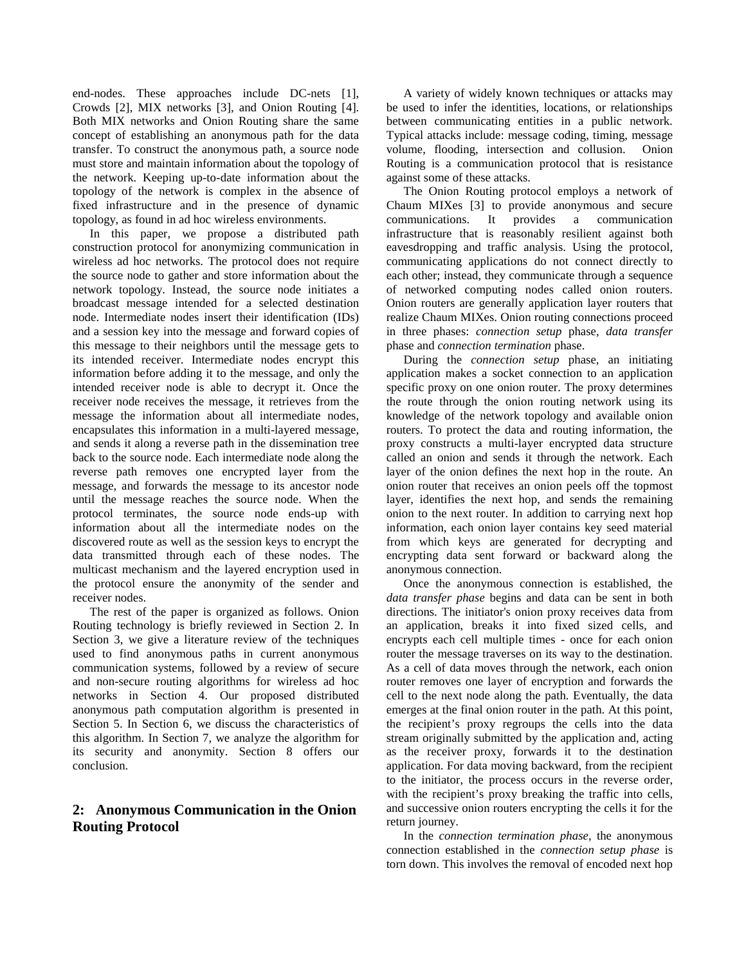end-nodes. These approaches include DC-nets [1], Crowds [2], MIX networks [3], and Onion Routing [4]. Both MIX networks and Onion Routing share the same concept of establishing an anonymous path for the data transfer. To construct the anonymous path, a source node must store and maintain information about the topology of the network. Keeping up-to-date information about the topology of the network is complex in the absence of fixed infrastructure and in the presence of dynamic topology, as found in ad hoc wireless environments.

In this paper, we propose a distributed path construction protocol for anonymizing communication in wireless ad hoc networks. The protocol does not require the source node to gather and store information about the network topology. Instead, the source node initiates a broadcast message intended for a selected destination node. Intermediate nodes insert their identification (IDs) and a session key into the message and forward copies of this message to their neighbors until the message gets to its intended receiver. Intermediate nodes encrypt this information before adding it to the message, and only the intended receiver node is able to decrypt it. Once the receiver node receives the message, it retrieves from the message the information about all intermediate nodes, encapsulates this information in a multi-layered message, and sends it along a reverse path in the dissemination tree back to the source node. Each intermediate node along the reverse path removes one encrypted layer from the message, and forwards the message to its ancestor node until the message reaches the source node. When the protocol terminates, the source node ends-up with information about all the intermediate nodes on the discovered route as well as the session keys to encrypt the data transmitted through each of these nodes. The multicast mechanism and the layered encryption used in the protocol ensure the anonymity of the sender and receiver nodes.

The rest of the paper is organized as follows. Onion Routing technology is briefly reviewed in Section 2. In Section 3, we give a literature review of the techniques used to find anonymous paths in current anonymous communication systems, followed by a review of secure and non-secure routing algorithms for wireless ad hoc networks in Section 4. Our proposed distributed anonymous path computation algorithm is presented in Section 5. In Section 6, we discuss the characteristics of this algorithm. In Section 7, we analyze the algorithm for its security and anonymity. Section 8 offers our conclusion.

# **2: Anonymous Communication in the Onion Routing Protocol**

A variety of widely known techniques or attacks may be used to infer the identities, locations, or relationships between communicating entities in a public network. Typical attacks include: message coding, timing, message volume, flooding, intersection and collusion. Onion Routing is a communication protocol that is resistance against some of these attacks.

The Onion Routing protocol employs a network of Chaum MIXes [3] to provide anonymous and secure communications. It provides a communication infrastructure that is reasonably resilient against both eavesdropping and traffic analysis. Using the protocol, communicating applications do not connect directly to each other; instead, they communicate through a sequence of networked computing nodes called onion routers. Onion routers are generally application layer routers that realize Chaum MIXes. Onion routing connections proceed in three phases: *connection setup* phase, *data transfer*  phase and *connection termination* phase.

During the *connection setup* phase, an initiating application makes a socket connection to an application specific proxy on one onion router. The proxy determines the route through the onion routing network using its knowledge of the network topology and available onion routers. To protect the data and routing information, the proxy constructs a multi-layer encrypted data structure called an onion and sends it through the network. Each layer of the onion defines the next hop in the route. An onion router that receives an onion peels off the topmost layer, identifies the next hop, and sends the remaining onion to the next router. In addition to carrying next hop information, each onion layer contains key seed material from which keys are generated for decrypting and encrypting data sent forward or backward along the anonymous connection.

Once the anonymous connection is established, the *data transfer phase* begins and data can be sent in both directions. The initiator's onion proxy receives data from an application, breaks it into fixed sized cells, and encrypts each cell multiple times - once for each onion router the message traverses on its way to the destination. As a cell of data moves through the network, each onion router removes one layer of encryption and forwards the cell to the next node along the path. Eventually, the data emerges at the final onion router in the path. At this point, the recipient's proxy regroups the cells into the data stream originally submitted by the application and, acting as the receiver proxy, forwards it to the destination application. For data moving backward, from the recipient to the initiator, the process occurs in the reverse order, with the recipient's proxy breaking the traffic into cells, and successive onion routers encrypting the cells it for the return journey.

In the *connection termination phase*, the anonymous connection established in the *connection setup phase* is torn down. This involves the removal of encoded next hop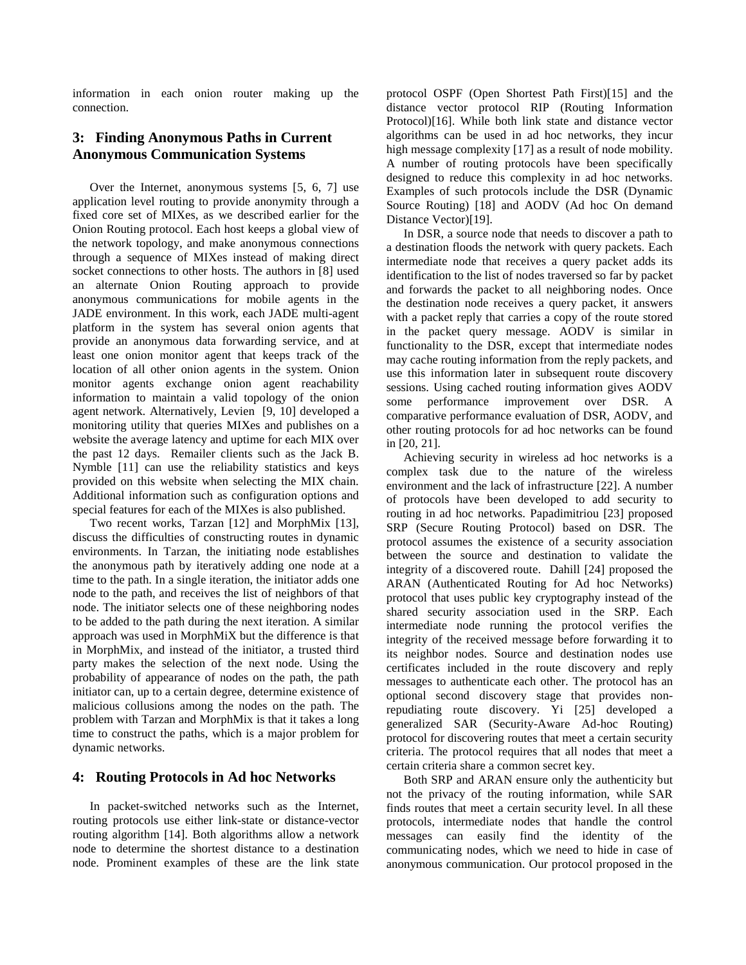information in each onion router making up the connection.

# **3: Finding Anonymous Paths in Current Anonymous Communication Systems**

Over the Internet, anonymous systems [5, 6, 7] use application level routing to provide anonymity through a fixed core set of MIXes, as we described earlier for the Onion Routing protocol. Each host keeps a global view of the network topology, and make anonymous connections through a sequence of MIXes instead of making direct socket connections to other hosts. The authors in [8] used an alternate Onion Routing approach to provide anonymous communications for mobile agents in the JADE environment. In this work, each JADE multi-agent platform in the system has several onion agents that provide an anonymous data forwarding service, and at least one onion monitor agent that keeps track of the location of all other onion agents in the system. Onion monitor agents exchange onion agent reachability information to maintain a valid topology of the onion agent network. Alternatively, Levien [9, 10] developed a monitoring utility that queries MIXes and publishes on a website the average latency and uptime for each MIX over the past 12 days. Remailer clients such as the Jack B. Nymble [11] can use the reliability statistics and keys provided on this website when selecting the MIX chain. Additional information such as configuration options and special features for each of the MIXes is also published.

Two recent works, Tarzan [12] and MorphMix [13], discuss the difficulties of constructing routes in dynamic environments. In Tarzan, the initiating node establishes the anonymous path by iteratively adding one node at a time to the path. In a single iteration, the initiator adds one node to the path, and receives the list of neighbors of that node. The initiator selects one of these neighboring nodes to be added to the path during the next iteration. A similar approach was used in MorphMiX but the difference is that in MorphMix, and instead of the initiator, a trusted third party makes the selection of the next node. Using the probability of appearance of nodes on the path, the path initiator can, up to a certain degree, determine existence of malicious collusions among the nodes on the path. The problem with Tarzan and MorphMix is that it takes a long time to construct the paths, which is a major problem for dynamic networks.

# **4: Routing Protocols in Ad hoc Networks**

In packet-switched networks such as the Internet, routing protocols use either link-state or distance-vector routing algorithm [14]. Both algorithms allow a network node to determine the shortest distance to a destination node. Prominent examples of these are the link state protocol OSPF (Open Shortest Path First)[15] and the distance vector protocol RIP (Routing Information Protocol)[16]. While both link state and distance vector algorithms can be used in ad hoc networks, they incur high message complexity [17] as a result of node mobility. A number of routing protocols have been specifically designed to reduce this complexity in ad hoc networks. Examples of such protocols include the DSR (Dynamic Source Routing) [18] and AODV (Ad hoc On demand Distance Vector)[19].

In DSR, a source node that needs to discover a path to a destination floods the network with query packets. Each intermediate node that receives a query packet adds its identification to the list of nodes traversed so far by packet and forwards the packet to all neighboring nodes. Once the destination node receives a query packet, it answers with a packet reply that carries a copy of the route stored in the packet query message. AODV is similar in functionality to the DSR, except that intermediate nodes may cache routing information from the reply packets, and use this information later in subsequent route discovery sessions. Using cached routing information gives AODV some performance improvement over DSR. A comparative performance evaluation of DSR, AODV, and other routing protocols for ad hoc networks can be found in [20, 21].

Achieving security in wireless ad hoc networks is a complex task due to the nature of the wireless environment and the lack of infrastructure [22]. A number of protocols have been developed to add security to routing in ad hoc networks. Papadimitriou [23] proposed SRP (Secure Routing Protocol) based on DSR. The protocol assumes the existence of a security association between the source and destination to validate the integrity of a discovered route. Dahill [24] proposed the ARAN (Authenticated Routing for Ad hoc Networks) protocol that uses public key cryptography instead of the shared security association used in the SRP. Each intermediate node running the protocol verifies the integrity of the received message before forwarding it to its neighbor nodes. Source and destination nodes use certificates included in the route discovery and reply messages to authenticate each other. The protocol has an optional second discovery stage that provides nonrepudiating route discovery. Yi [25] developed a generalized SAR (Security-Aware Ad-hoc Routing) protocol for discovering routes that meet a certain security criteria. The protocol requires that all nodes that meet a certain criteria share a common secret key.

Both SRP and ARAN ensure only the authenticity but not the privacy of the routing information, while SAR finds routes that meet a certain security level. In all these protocols, intermediate nodes that handle the control messages can easily find the identity of the communicating nodes, which we need to hide in case of anonymous communication. Our protocol proposed in the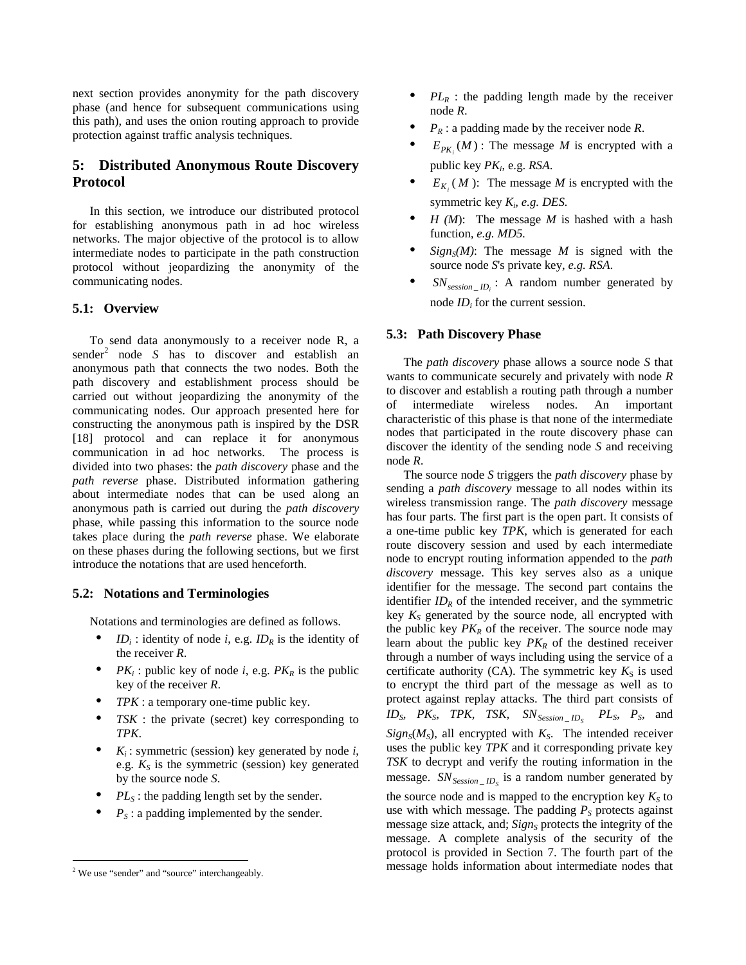next section provides anonymity for the path discovery phase (and hence for subsequent communications using this path), and uses the onion routing approach to provide protection against traffic analysis techniques.

# **5: Distributed Anonymous Route Discovery Protocol**

In this section, we introduce our distributed protocol for establishing anonymous path in ad hoc wireless networks. The major objective of the protocol is to allow intermediate nodes to participate in the path construction protocol without jeopardizing the anonymity of the communicating nodes.

### **5.1: Overview**

To send data anonymously to a receiver node R, a  $sender<sup>2</sup>$  node *S* has to discover and establish an anonymous path that connects the two nodes. Both the path discovery and establishment process should be carried out without jeopardizing the anonymity of the communicating nodes. Our approach presented here for constructing the anonymous path is inspired by the DSR [18] protocol and can replace it for anonymous communication in ad hoc networks. The process is divided into two phases: the *path discovery* phase and the *path reverse* phase. Distributed information gathering about intermediate nodes that can be used along an anonymous path is carried out during the *path discovery* phase, while passing this information to the source node takes place during the *path reverse* phase. We elaborate on these phases during the following sections, but we first introduce the notations that are used henceforth.

# **5.2: Notations and Terminologies**

Notations and terminologies are defined as follows.

- *ID<sub>i</sub>* : identity of node *i*, e.g. *ID<sub>R</sub>* is the identity of the receiver *R*.
- *PK<sub>i</sub>*: public key of node *i*, e.g. *PK<sub>R</sub>* is the public key of the receiver *R*.
- *TPK* : a temporary one-time public key.
- *TSK* : the private (secret) key corresponding to *TPK*.
- $K_i$ : symmetric (session) key generated by node *i*, e.g.  $K_S$  is the symmetric (session) key generated by the source node *S*.
- $PL<sub>S</sub>$ : the padding length set by the sender.
- $P<sub>S</sub>$ : a padding implemented by the sender.

<u>.</u>

- $PL_R$ : the padding length made by the receiver node *R*.
- $P_R$ : a padding made by the receiver node *R*.
- $E_{PK_i}(M)$ : The message *M* is encrypted with a public key *PKi*, e.g. *RSA*.
- $E_{K}$  (*M*): The message *M* is encrypted with the symmetric key *Ki, e.g. DES.*
- $H(M)$ : The message  $M$  is hashed with a hash function*, e.g. MD5.*
- $Sign_S(M)$ : The message *M* is signed with the source node *S*'s private key, *e.g. RSA*.
- $SN_{session\_ID_i}$ : A random number generated by node *IDi* for the current session.

### **5.3: Path Discovery Phase**

The *path discovery* phase allows a source node *S* that wants to communicate securely and privately with node *R* to discover and establish a routing path through a number of intermediate wireless nodes. An important characteristic of this phase is that none of the intermediate nodes that participated in the route discovery phase can discover the identity of the sending node *S* and receiving node *R*.

The source node *S* triggers the *path discovery* phase by sending a *path discovery* message to all nodes within its wireless transmission range. The *path discovery* message has four parts. The first part is the open part. It consists of a one-time public key *TPK*, which is generated for each route discovery session and used by each intermediate node to encrypt routing information appended to the *path discovery* message. This key serves also as a unique identifier for the message. The second part contains the identifier  $ID_R$  of the intended receiver, and the symmetric key  $K_S$  generated by the source node, all encrypted with the public key  $PK_R$  of the receiver. The source node may learn about the public key  $PK_R$  of the destined receiver through a number of ways including using the service of a certificate authority (CA). The symmetric key  $K_S$  is used to encrypt the third part of the message as well as to protect against replay attacks. The third part consists of  $ID_S$ ,  $PK_S$ ,  $TPK$ ,  $TSK$ ,  $SN_{Session\_ID_S}$   $PL_S$ ,  $P_S$ , and  $Sign_S(M_S)$ , all encrypted with  $K_S$ . The intended receiver uses the public key *TPK* and it corresponding private key *TSK* to decrypt and verify the routing information in the message.  $SN_{Session \_ID_s}$  is a random number generated by the source node and is mapped to the encryption key  $K_S$  to use with which message. The padding  $P<sub>S</sub>$  protects against message size attack, and; *Sign<sub>S</sub>* protects the integrity of the message. A complete analysis of the security of the protocol is provided in Section 7. The fourth part of the message holds information about intermediate nodes that

<sup>&</sup>lt;sup>2</sup> We use "sender" and "source" interchangeably.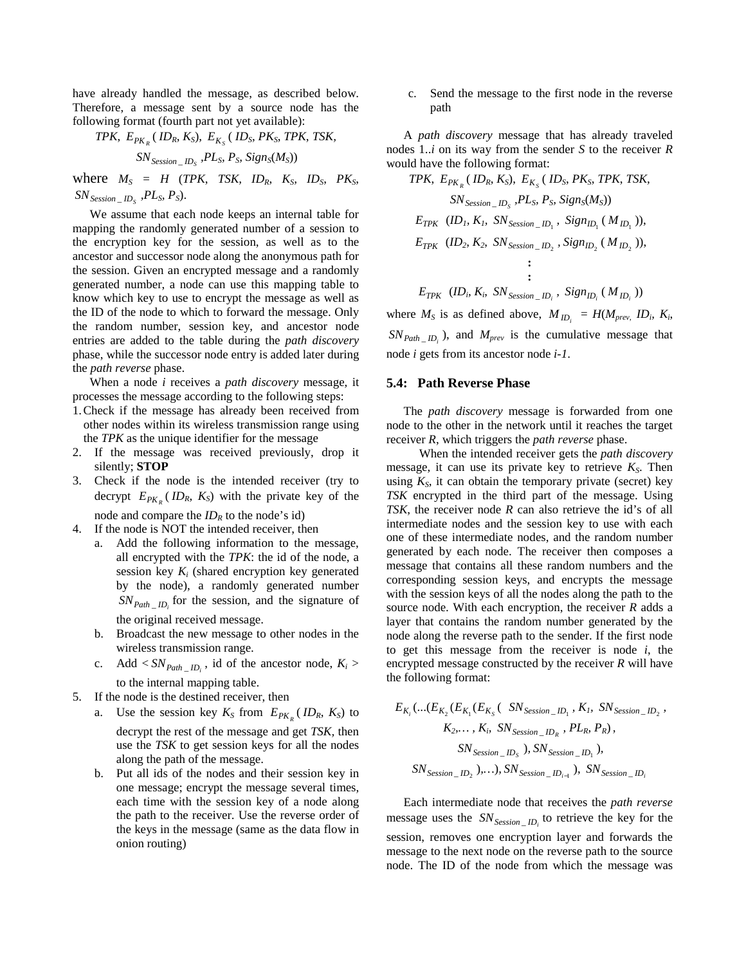have already handled the message, as described below. Therefore, a message sent by a source node has the following format (fourth part not yet available):

$$
TPK, E_{PK_R} (ID_R, K_S), E_{K_S} (ID_S, PK_S, TPK, TSK, SN_{Session\_ID_S}, PL_S, P_S, Sign_S(M_S))
$$

where  $M_S = H$  (*TPK*, *TSK*, *ID<sub>R</sub>*,  $K_S$ , *ID<sub>S</sub>*,  $PK_S$ ,  $SN_{Session\_ID_s}$ ,  $PL_s$ ,  $P_s$ ).

We assume that each node keeps an internal table for mapping the randomly generated number of a session to the encryption key for the session, as well as to the ancestor and successor node along the anonymous path for the session. Given an encrypted message and a randomly generated number, a node can use this mapping table to know which key to use to encrypt the message as well as the ID of the node to which to forward the message. Only the random number, session key, and ancestor node entries are added to the table during the *path discovery*  phase, while the successor node entry is added later during the *path reverse* phase.

When a node *i* receives a *path discovery* message, it processes the message according to the following steps:

- 1. Check if the message has already been received from other nodes within its wireless transmission range using the *TPK* as the unique identifier for the message
- 2. If the message was received previously, drop it silently; **STOP**
- 3. Check if the node is the intended receiver (try to decrypt  $E_{PK_R}$  (*ID<sub>R</sub>*,  $K_S$ ) with the private key of the node and compare the  $ID_R$  to the node's id)
- 4. If the node is NOT the intended receiver, then
	- a. Add the following information to the message, all encrypted with the *TPK*: the id of the node, a session key *Ki* (shared encryption key generated by the node), a randomly generated number  $SN_{Path\_ID_i}$  for the session, and the signature of the original received message.
	- b. Broadcast the new message to other nodes in the wireless transmission range.
	- c. Add  $\langle SN_{Path} \rangle$  *ID*, id of the ancestor node,  $K_i$ to the internal mapping table.
- 5. If the node is the destined receiver, then
	- a. Use the session key  $K_S$  from  $E_{PK_R}(ID_R, K_S)$  to decrypt the rest of the message and get *TSK,* then use the *TSK* to get session keys for all the nodes along the path of the message.
	- b. Put all ids of the nodes and their session key in one message; encrypt the message several times, each time with the session key of a node along the path to the receiver. Use the reverse order of the keys in the message (same as the data flow in onion routing)

c. Send the message to the first node in the reverse path

A *path discovery* message that has already traveled nodes 1..*i* on its way from the sender *S* to the receiver *R*  would have the following format:

*TPK*, 
$$
E_{PK_R}
$$
 (*ID<sub>R</sub>*, *K<sub>S</sub>*),  $E_{K_S}$  (*ID<sub>S</sub>*, *PK<sub>S</sub>*, *TPK*, *TSK*,  
\n*SN*<sub>*Session*</sub> *ID<sub>S</sub>*, *PL<sub>S</sub>*, *P<sub>S</sub>*, *Sign<sub>S</sub>*(*M<sub>S</sub>*))  
\n $E_{TPK}$  (*ID<sub>1</sub>*, *K<sub>1</sub>*, *SN*<sub>*Session*</sub> *ID<sub>1</sub>*, *Sign<sub>ID<sub>1</sub></sub>* (*M<sub>ID<sub>1</sub></sub>*)),  
\n $E_{TPK}$  (*ID<sub>2</sub>*, *K<sub>2</sub>*, *SN*<sub>*Session*</sub> *ID<sub>2</sub>*, *Sign<sub>ID<sub>2</sub></sub>* (*M<sub>ID<sub>2</sub></sub>*)),  
\n $\vdots$   
\n $E_{TPK}$  (*ID<sub>i</sub>*, *K<sub>i</sub>*, *SN*<sub>*Session*</sub> *ID<sub>i</sub>*, *Sign<sub>ID<sub>i</sub></sub>* (*M<sub>ID<sub>i</sub></sub>*))

where  $M_S$  is as defined above,  $M_{ID_i} = H(M_{prev}, ID_i, K_i)$  $SN_{Path\_ID_i}$ ), and  $M_{prev}$  is the cumulative message that node *i* gets from its ancestor node *i-1*.

#### **5.4: Path Reverse Phase**

The *path discovery* message is forwarded from one node to the other in the network until it reaches the target receiver *R*, which triggers the *path reverse* phase.

When the intended receiver gets the *path discovery* message, it can use its private key to retrieve  $K_S$ . Then using  $K<sub>S</sub>$ , it can obtain the temporary private (secret) key *TSK* encrypted in the third part of the message. Using *TSK*, the receiver node *R* can also retrieve the id's of all intermediate nodes and the session key to use with each one of these intermediate nodes, and the random number generated by each node. The receiver then composes a message that contains all these random numbers and the corresponding session keys, and encrypts the message with the session keys of all the nodes along the path to the source node. With each encryption, the receiver *R* adds a layer that contains the random number generated by the node along the reverse path to the sender. If the first node to get this message from the receiver is node *i*, the encrypted message constructed by the receiver *R* will have the following format:

$$
E_{K_i}(\dots(E_{K_2}(E_{K_1}(E_{K_5}(-SN_{Session\_ID_1}, K_l, SN_{Session\_ID_2}, K_2, \dots, K_i, SN_{Session\_ID_R}, PL_R, P_R),
$$
  
\n
$$
SN_{Session\_ID_S}
$$
, 
$$
SN_{Session\_ID_1}
$$
),  
\n
$$
SN_{Session\_ID_2}
$$
, ..., 
$$
SN_{Session\_ID_{i-1}}
$$
, 
$$
SN_{Session\_ID_i}
$$

Each intermediate node that receives the *path reverse* message uses the  $SN_{Session \_ID_i}$  to retrieve the key for the session, removes one encryption layer and forwards the message to the next node on the reverse path to the source node. The ID of the node from which the message was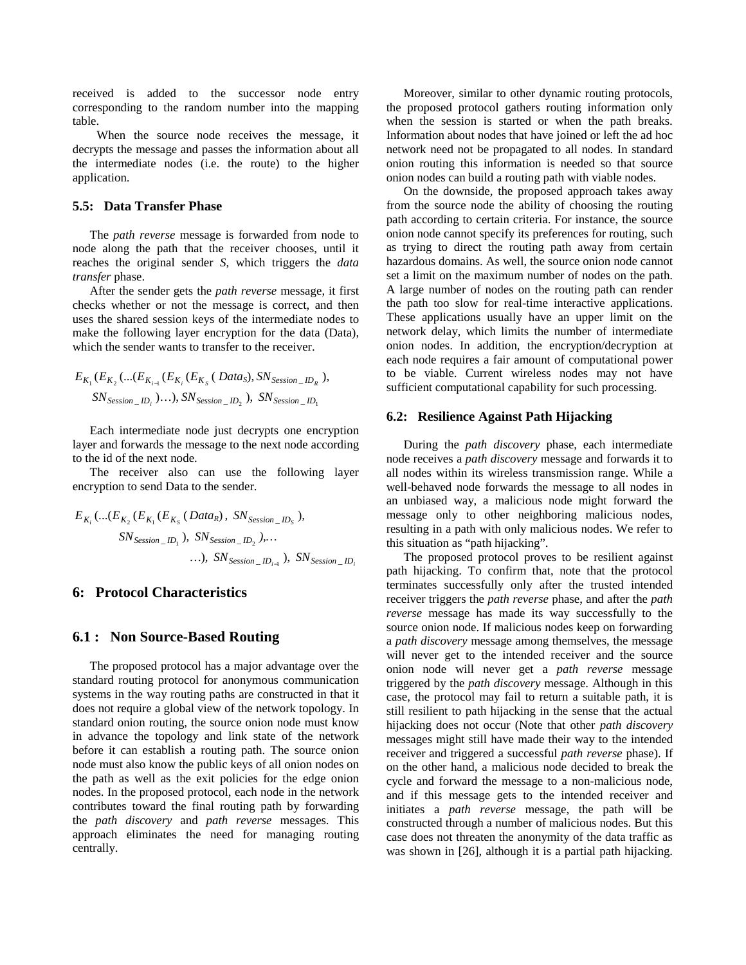received is added to the successor node entry corresponding to the random number into the mapping table.

When the source node receives the message, it decrypts the message and passes the information about all the intermediate nodes (i.e. the route) to the higher application.

#### **5.5: Data Transfer Phase**

The *path reverse* message is forwarded from node to node along the path that the receiver chooses, until it reaches the original sender *S*, which triggers the *data transfer* phase.

After the sender gets the *path reverse* message, it first checks whether or not the message is correct, and then uses the shared session keys of the intermediate nodes to make the following layer encryption for the data (Data), which the sender wants to transfer to the receiver.

$$
E_{K_1}(E_{K_2}(\ldots(E_{K_{i-1}}(E_{K_i}(E_{K_S}(Data_S), SN_{Session\_ID_R})),
$$
  

$$
SN_{Session\_ID_i})\ldots)
$$
, 
$$
SN_{Session\_ID_2}
$$
, 
$$
SN_{Session\_ID_1}
$$

Each intermediate node just decrypts one encryption layer and forwards the message to the next node according to the id of the next node.

The receiver also can use the following layer encryption to send Data to the sender.

$$
E_{K_i}(\dots(E_{K_2}(E_{K_1}(E_{K_S}(Data_R), SN_{Session\_ID_S}),
$$
  
\n
$$
SN_{Session\_ID_1}), SN_{Session\_ID_2}, \dots
$$
  
\n...), 
$$
SN_{Session\_ID_{i-1}}, SN_{Session\_ID_i}
$$

#### **6: Protocol Characteristics**

#### **6.1 : Non Source-Based Routing**

The proposed protocol has a major advantage over the standard routing protocol for anonymous communication systems in the way routing paths are constructed in that it does not require a global view of the network topology. In standard onion routing, the source onion node must know in advance the topology and link state of the network before it can establish a routing path. The source onion node must also know the public keys of all onion nodes on the path as well as the exit policies for the edge onion nodes. In the proposed protocol, each node in the network contributes toward the final routing path by forwarding the *path discovery* and *path reverse* messages. This approach eliminates the need for managing routing centrally.

Moreover, similar to other dynamic routing protocols, the proposed protocol gathers routing information only when the session is started or when the path breaks. Information about nodes that have joined or left the ad hoc network need not be propagated to all nodes. In standard onion routing this information is needed so that source onion nodes can build a routing path with viable nodes.

On the downside, the proposed approach takes away from the source node the ability of choosing the routing path according to certain criteria. For instance, the source onion node cannot specify its preferences for routing, such as trying to direct the routing path away from certain hazardous domains. As well, the source onion node cannot set a limit on the maximum number of nodes on the path. A large number of nodes on the routing path can render the path too slow for real-time interactive applications. These applications usually have an upper limit on the network delay, which limits the number of intermediate onion nodes. In addition, the encryption/decryption at each node requires a fair amount of computational power to be viable. Current wireless nodes may not have sufficient computational capability for such processing.

#### **6.2: Resilience Against Path Hijacking**

During the *path discovery* phase, each intermediate node receives a *path discovery* message and forwards it to all nodes within its wireless transmission range. While a well-behaved node forwards the message to all nodes in an unbiased way, a malicious node might forward the message only to other neighboring malicious nodes, resulting in a path with only malicious nodes. We refer to this situation as "path hijacking".

The proposed protocol proves to be resilient against path hijacking. To confirm that, note that the protocol terminates successfully only after the trusted intended receiver triggers the *path reverse* phase, and after the *path reverse* message has made its way successfully to the source onion node. If malicious nodes keep on forwarding a *path discovery* message among themselves, the message will never get to the intended receiver and the source onion node will never get a *path reverse* message triggered by the *path discovery* message. Although in this case, the protocol may fail to return a suitable path, it is still resilient to path hijacking in the sense that the actual hijacking does not occur (Note that other *path discovery* messages might still have made their way to the intended receiver and triggered a successful *path reverse* phase). If on the other hand, a malicious node decided to break the cycle and forward the message to a non-malicious node, and if this message gets to the intended receiver and initiates a *path reverse* message, the path will be constructed through a number of malicious nodes. But this case does not threaten the anonymity of the data traffic as was shown in [26], although it is a partial path hijacking.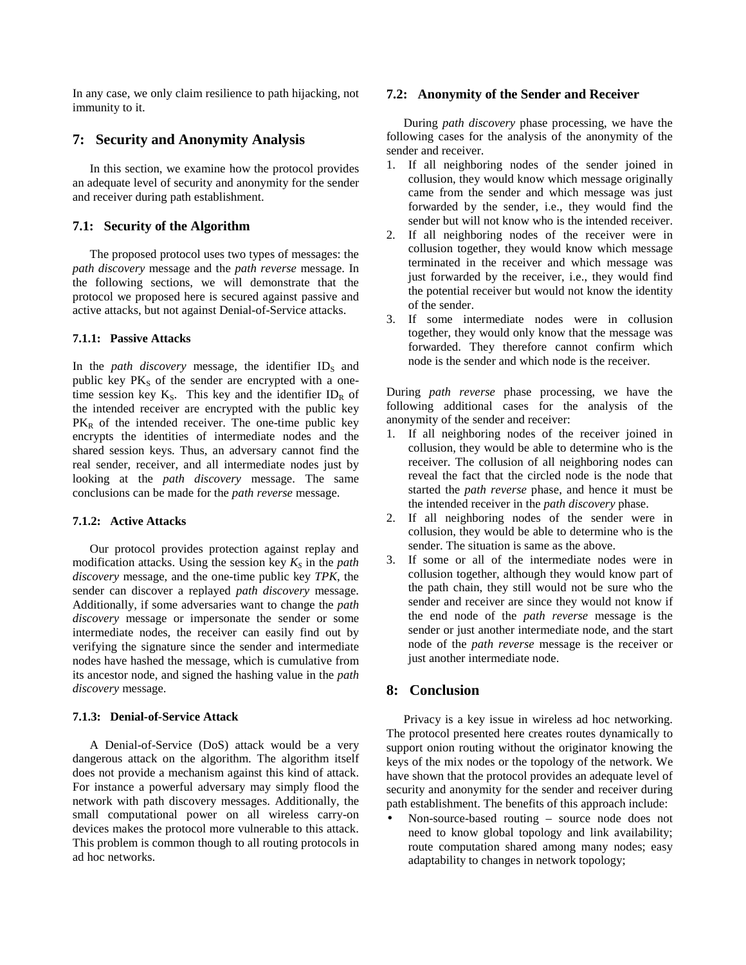In any case, we only claim resilience to path hijacking, not immunity to it.

# **7: Security and Anonymity Analysis**

In this section, we examine how the protocol provides an adequate level of security and anonymity for the sender and receiver during path establishment.

# **7.1: Security of the Algorithm**

The proposed protocol uses two types of messages: the *path discovery* message and the *path reverse* message. In the following sections, we will demonstrate that the protocol we proposed here is secured against passive and active attacks, but not against Denial-of-Service attacks.

# **7.1.1: Passive Attacks**

In the *path discovery* message, the identifier  $ID<sub>s</sub>$  and public key  $PK<sub>S</sub>$  of the sender are encrypted with a onetime session key  $K_S$ . This key and the identifier ID<sub>R</sub> of the intended receiver are encrypted with the public key  $PK<sub>R</sub>$  of the intended receiver. The one-time public key encrypts the identities of intermediate nodes and the shared session keys. Thus, an adversary cannot find the real sender, receiver, and all intermediate nodes just by looking at the *path discovery* message. The same conclusions can be made for the *path reverse* message.

# **7.1.2: Active Attacks**

Our protocol provides protection against replay and modification attacks. Using the session key  $K<sub>S</sub>$  in the *path discovery* message, and the one-time public key *TPK*, the sender can discover a replayed *path discovery* message. Additionally, if some adversaries want to change the *path discovery* message or impersonate the sender or some intermediate nodes, the receiver can easily find out by verifying the signature since the sender and intermediate nodes have hashed the message, which is cumulative from its ancestor node, and signed the hashing value in the *path discovery* message.

# **7.1.3: Denial-of-Service Attack**

A Denial-of-Service (DoS) attack would be a very dangerous attack on the algorithm. The algorithm itself does not provide a mechanism against this kind of attack. For instance a powerful adversary may simply flood the network with path discovery messages. Additionally, the small computational power on all wireless carry-on devices makes the protocol more vulnerable to this attack. This problem is common though to all routing protocols in ad hoc networks.

# **7.2: Anonymity of the Sender and Receiver**

During *path discovery* phase processing, we have the following cases for the analysis of the anonymity of the sender and receiver.

- 1. If all neighboring nodes of the sender joined in collusion, they would know which message originally came from the sender and which message was just forwarded by the sender, i.e., they would find the sender but will not know who is the intended receiver.
- 2. If all neighboring nodes of the receiver were in collusion together, they would know which message terminated in the receiver and which message was just forwarded by the receiver, i.e., they would find the potential receiver but would not know the identity of the sender.
- 3. If some intermediate nodes were in collusion together, they would only know that the message was forwarded. They therefore cannot confirm which node is the sender and which node is the receiver.

During *path reverse* phase processing, we have the following additional cases for the analysis of the anonymity of the sender and receiver:

- 1. If all neighboring nodes of the receiver joined in collusion, they would be able to determine who is the receiver. The collusion of all neighboring nodes can reveal the fact that the circled node is the node that started the *path reverse* phase, and hence it must be the intended receiver in the *path discovery* phase.
- 2. If all neighboring nodes of the sender were in collusion, they would be able to determine who is the sender. The situation is same as the above.
- 3. If some or all of the intermediate nodes were in collusion together, although they would know part of the path chain, they still would not be sure who the sender and receiver are since they would not know if the end node of the *path reverse* message is the sender or just another intermediate node, and the start node of the *path reverse* message is the receiver or just another intermediate node.

# **8: Conclusion**

Privacy is a key issue in wireless ad hoc networking. The protocol presented here creates routes dynamically to support onion routing without the originator knowing the keys of the mix nodes or the topology of the network. We have shown that the protocol provides an adequate level of security and anonymity for the sender and receiver during path establishment. The benefits of this approach include:

• Non-source-based routing – source node does not need to know global topology and link availability; route computation shared among many nodes; easy adaptability to changes in network topology;